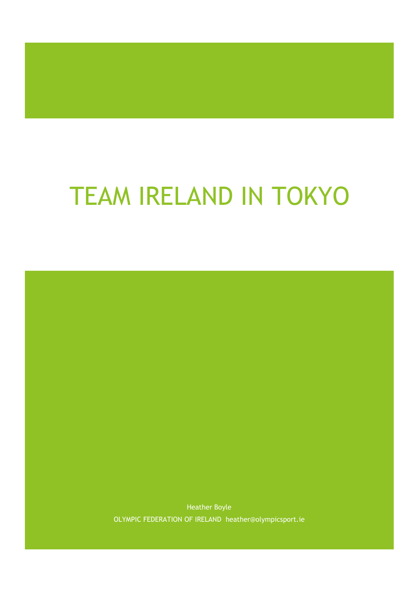# TEAM IRELAND IN TOKYO

Heather Boyle OLYMPIC FEDERATION OF IRELAND heather@olympicsport.ie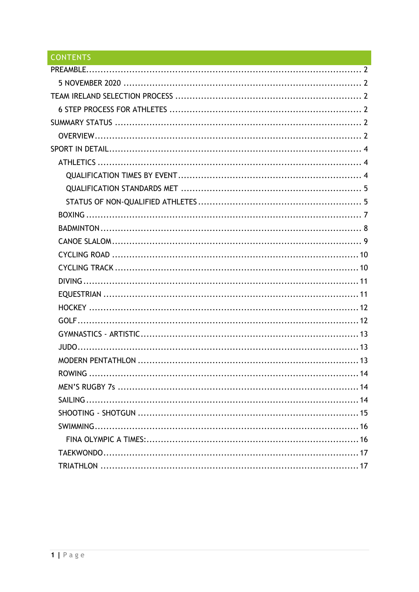# CONTENTS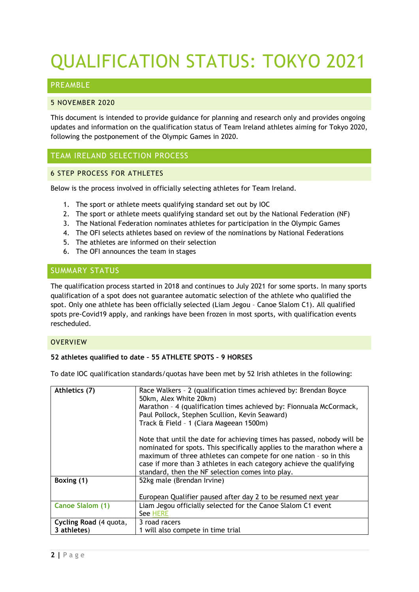# QUALIFICATION STATUS: TOKYO 2021

# <span id="page-2-0"></span>PREAMBLE

#### <span id="page-2-1"></span>5 NOVEMBER 2020

This document is intended to provide guidance for planning and research only and provides ongoing updates and information on the qualification status of Team Ireland athletes aiming for Tokyo 2020, following the postponement of the Olympic Games in 2020.

# <span id="page-2-2"></span>TEAM IRELAND SELECTION PROCESS

# <span id="page-2-3"></span>6 STEP PROCESS FOR ATHLETES

Below is the process involved in officially selecting athletes for Team Ireland.

- 1. The sport or athlete meets qualifying standard set out by IOC
- 2. The sport or athlete meets qualifying standard set out by the National Federation (NF)
- 3. The National Federation nominates athletes for participation in the Olympic Games
- 4. The OFI selects athletes based on review of the nominations by National Federations
- 5. The athletes are informed on their selection
- 6. The OFI announces the team in stages

# <span id="page-2-4"></span>SUMMARY STATUS

The qualification process started in 2018 and continues to July 2021 for some sports. In many sports qualification of a spot does not guarantee automatic selection of the athlete who qualified the spot. Only one athlete has been officially selected (Liam Jegou – Canoe Slalom C1). All qualified spots pre-Covid19 apply, and rankings have been frozen in most sports, with qualification events rescheduled.

#### <span id="page-2-5"></span>**OVERVIEW**

#### **52 athletes qualified to date – 55 ATHLETE SPOTS – 9 HORSES**

To date IOC qualification standards/quotas have been met by 52 Irish athletes in the following:

| Athletics (7)           | Race Walkers - 2 (qualification times achieved by: Brendan Boyce<br>50km, Alex White 20km)<br>Marathon - 4 (qualification times achieved by: Fionnuala McCormack,<br>Paul Pollock, Stephen Scullion, Kevin Seaward)<br>Track & Field - 1 (Ciara Mageean 1500m)<br>Note that until the date for achieving times has passed, nobody will be |
|-------------------------|-------------------------------------------------------------------------------------------------------------------------------------------------------------------------------------------------------------------------------------------------------------------------------------------------------------------------------------------|
|                         | nominated for spots. This specifically applies to the marathon where a<br>maximum of three athletes can compete for one nation - so in this<br>case if more than 3 athletes in each category achieve the qualifying<br>standard, then the NF selection comes into play.                                                                   |
| Boxing (1)              | 52kg male (Brendan Irvine)<br>European Qualifier paused after day 2 to be resumed next year                                                                                                                                                                                                                                               |
| <b>Canoe Slalom (1)</b> | Liam Jegou officially selected for the Canoe Slalom C1 event                                                                                                                                                                                                                                                                              |
|                         | See HERE                                                                                                                                                                                                                                                                                                                                  |
| Cycling Road (4 quota,  | 3 road racers                                                                                                                                                                                                                                                                                                                             |
| 3 athletes)             | 1 will also compete in time trial                                                                                                                                                                                                                                                                                                         |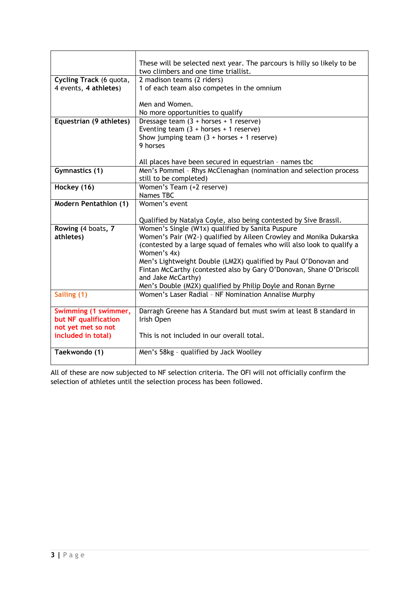|                              | These will be selected next year. The parcours is hilly so likely to be |
|------------------------------|-------------------------------------------------------------------------|
|                              | two climbers and one time triallist.                                    |
| Cycling Track (6 quota,      | 2 madison teams (2 riders)                                              |
| 4 events, 4 athletes)        | 1 of each team also competes in the omnium                              |
|                              |                                                                         |
|                              | Men and Women.                                                          |
|                              | No more opportunities to qualify                                        |
| Equestrian (9 athletes)      | Dressage team $(3 + \text{horses} + 1 \text{ reserve})$                 |
|                              | Eventing team $(3 + \text{horses} + 1 \text{ reserve})$                 |
|                              | Show jumping team $(3 + \text{horses} + 1 \text{ reserve})$             |
|                              | 9 horses                                                                |
|                              |                                                                         |
|                              | All places have been secured in equestrian - names tbc                  |
| Gymnastics (1)               | Men's Pommel - Rhys McClenaghan (nomination and selection process       |
|                              | still to be completed)                                                  |
| Hockey (16)                  | Women's Team (+2 reserve)                                               |
|                              | Names TBC                                                               |
| <b>Modern Pentathlon (1)</b> | Women's event                                                           |
|                              |                                                                         |
|                              | Qualified by Natalya Coyle, also being contested by Sive Brassil.       |
| Rowing (4 boats, 7           | Women's Single (W1x) qualified by Sanita Puspure                        |
| athletes)                    | Women's Pair (W2-) qualified by Aileen Crowley and Monika Dukarska      |
|                              | (contested by a large squad of females who will also look to qualify a  |
|                              | Women's 4x)                                                             |
|                              | Men's Lightweight Double (LM2X) qualified by Paul O'Donovan and         |
|                              | Fintan McCarthy (contested also by Gary O'Donovan, Shane O'Driscoll     |
|                              | and Jake McCarthy)                                                      |
|                              | Men's Double (M2X) qualified by Philip Doyle and Ronan Byrne            |
| Sailing (1)                  | Women's Laser Radial - NF Nomination Annalise Murphy                    |
|                              |                                                                         |
| Swimming (1 swimmer,         | Darragh Greene has A Standard but must swim at least B standard in      |
| but NF qualification         | Irish Open                                                              |
| not yet met so not           |                                                                         |
| included in total)           | This is not included in our overall total.                              |
|                              |                                                                         |
| Taekwondo (1)                | Men's 58kg - qualified by Jack Woolley                                  |
|                              |                                                                         |

All of these are now subjected to NF selection criteria. The OFI will not officially confirm the selection of athletes until the selection process has been followed.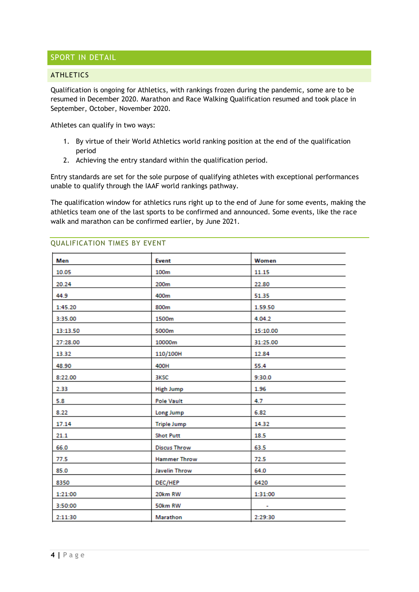# <span id="page-4-0"></span>SPORT IN DETAIL

#### <span id="page-4-1"></span>**ATHLETICS**

Qualification is ongoing for Athletics, with rankings frozen during the pandemic, some are to be resumed in December 2020. Marathon and Race Walking Qualification resumed and took place in September, October, November 2020.

Athletes can qualify in two ways:

- 1. By virtue of their World Athletics world ranking position at the end of the qualification period
- 2. Achieving the entry standard within the qualification period.

Entry standards are set for the sole purpose of qualifying athletes with exceptional performances unable to qualify through the IAAF world rankings pathway.

The qualification window for athletics runs right up to the end of June for some events, making the athletics team one of the last sports to be confirmed and announced. Some events, like the race walk and marathon can be confirmed earlier, by June 2021.

| Men      | Event               | Women    |
|----------|---------------------|----------|
|          |                     |          |
| 10.05    | 100m                | 11.15    |
| 20.24    | 200m                | 22.80    |
| 44.9     | 400m                | 51.35    |
| 1:45.20  | 800m                | 1.59.50  |
| 3:35.00  | 1500m               | 4.04.2   |
| 13:13.50 | 5000m               | 15:10.00 |
| 27:28.00 | 10000m              | 31:25.00 |
| 13.32    | 110/100H            | 12.84    |
| 48.90    | 400H                | 55.4     |
| 8:22.00  | <b>BKSC</b>         | 9:30.0   |
| 2.33     | <b>High Jump</b>    | 1.96     |
| 5.8      | <b>Pole Vault</b>   | 4.7      |
| 8.22     | Long Jump           | 6.82     |
| 17.14    | <b>Triple Jump</b>  | 14.32    |
| 21.1     | <b>Shot Putt</b>    | 18.5     |
| 66.0     | <b>Discus Throw</b> | 63.5     |
| 77.5     | <b>Hammer Throw</b> | 72.5     |
| 85.0     | Javelin Throw       | 64.0     |
| 8350     | DEC/HEP             | 6420     |
| 1:21:00  | 20km RW             | 1:31:00  |
| 3:50:00  | 50km RW             | ۰        |
| 2:11:30  | Marathon            | 2:29:30  |

#### <span id="page-4-2"></span>QUALIFICATION TIMES BY EVENT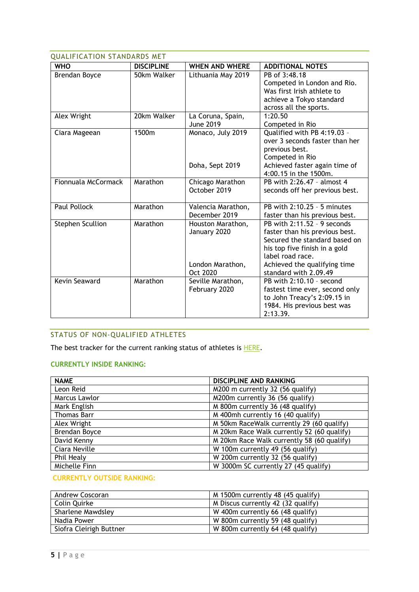<span id="page-5-0"></span>

| <b>QUALIFICATION STANDARDS MET</b> |                   |                                                       |                                                                                                                                                                                       |  |  |  |
|------------------------------------|-------------------|-------------------------------------------------------|---------------------------------------------------------------------------------------------------------------------------------------------------------------------------------------|--|--|--|
| <b>WHO</b>                         | <b>DISCIPLINE</b> | <b>WHEN AND WHERE</b>                                 | <b>ADDITIONAL NOTES</b>                                                                                                                                                               |  |  |  |
| Brendan Boyce                      | 50km Walker       | Lithuania May 2019                                    | PB of 3:48.18<br>Competed in London and Rio.<br>Was first Irish athlete to<br>achieve a Tokyo standard<br>across all the sports.                                                      |  |  |  |
| Alex Wright                        | 20km Walker       | La Coruna, Spain,<br>June 2019                        | 1:20.50<br>Competed in Rio                                                                                                                                                            |  |  |  |
| Ciara Mageean                      | 1500m             | Monaco, July 2019<br>Doha, Sept 2019                  | Qualified with PB 4:19.03 -<br>over 3 seconds faster than her<br>previous best.<br>Competed in Rio<br>Achieved faster again time of<br>4:00.15 in the 1500m.                          |  |  |  |
| Fionnuala McCormack                | Marathon          | Chicago Marathon<br>October 2019                      | PB with 2:26.47 - almost 4<br>seconds off her previous best.                                                                                                                          |  |  |  |
| <b>Paul Pollock</b>                | Marathon          | Valencia Marathon,<br>December 2019                   | PB with 2:10.25 - 5 minutes<br>faster than his previous best.                                                                                                                         |  |  |  |
| <b>Stephen Scullion</b>            | Marathon          | Houston Marathon,<br>January 2020<br>London Marathon, | PB with $2:11.52 - 9$ seconds<br>faster than his previous best.<br>Secured the standard based on<br>his top five finish in a gold<br>label road race.<br>Achieved the qualifying time |  |  |  |
| Kevin Seaward                      | Marathon          | Oct 2020<br>Seville Marathon,<br>February 2020        | standard with 2.09.49<br>PB with 2:10.10 - second<br>fastest time ever, second only<br>to John Treacy's 2:09.15 in<br>1984. His previous best was<br>2:13.39.                         |  |  |  |

# <span id="page-5-1"></span>STATUS OF NON-QUALIFIED ATHLETES

The best tracker for the current ranking status of athletes is **HERE**.

# **CURRENTLY INSIDE RANKING:**

| <b>NAME</b>        | <b>DISCIPLINE AND RANKING</b>              |
|--------------------|--------------------------------------------|
| Leon Reid          | M200 m currently 32 (56 qualify)           |
| Marcus Lawlor      | M200m currently 36 (56 qualify)            |
| Mark English       | M 800m currently 36 (48 qualify)           |
| <b>Thomas Barr</b> | M 400mh currently 16 (40 qualify)          |
| Alex Wright        | M 50km RaceWalk currently 29 (60 qualify)  |
| Brendan Boyce      | M 20km Race Walk currently 52 (60 qualify) |
| David Kenny        | M 20km Race Walk currently 58 (60 qualify) |
| Ciara Neville      | W 100m currently 49 (56 qualify)           |
| Phil Healy         | W 200m currently 32 (56 qualify)           |
| Michelle Finn      | W 3000m SC currently 27 (45 qualify)       |

#### **CURRENTLY OUTSIDE RANKING:**

| Andrew Coscoran         | M 1500m currently 48 (45 qualify)  |
|-------------------------|------------------------------------|
| Colin Quirke            | M Discus currently 42 (32 qualify) |
| Sharlene Mawdsley       | W 400m currently 66 (48 qualify)   |
| Nadia Power             | W 800m currently 59 (48 qualify)   |
| Siofra Cleirigh Buttner | W 800m currently 64 (48 qualify)   |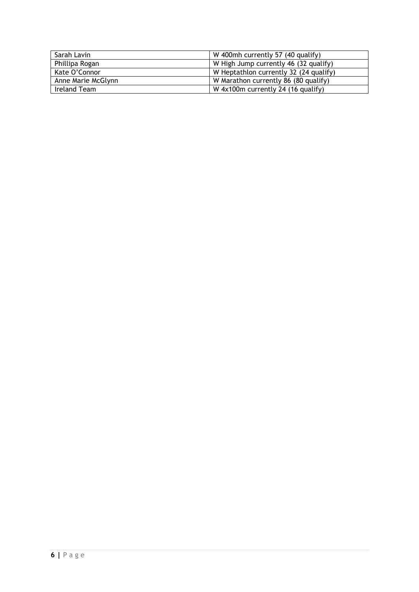| Sarah Lavin        | W 400mh currently 57 (40 qualify)      |
|--------------------|----------------------------------------|
| Phillipa Rogan     | W High Jump currently 46 (32 qualify)  |
| Kate O'Connor      | W Heptathlon currently 32 (24 qualify) |
| Anne Marie McGlynn | W Marathon currently 86 (80 qualify)   |
| Ireland Team       | W 4x100m currently 24 (16 qualify)     |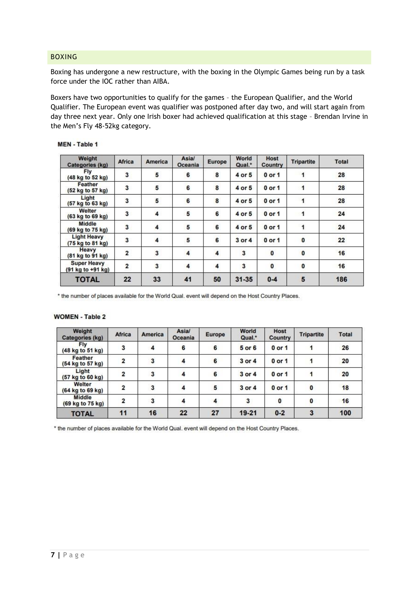#### <span id="page-7-0"></span>BOXING

Boxing has undergone a new restructure, with the boxing in the Olympic Games being run by a task force under the IOC rather than AIBA.

Boxers have two opportunities to qualify for the games – the European Qualifier, and the World Qualifier. The European event was qualifier was postponed after day two, and will start again from day three next year. Only one Irish boxer had achieved qualification at this stage – Brendan Irvine in the Men's Fly 48-52kg category.

| Weight<br>Categories (kg)               | <b>Africa</b>           | <b>America</b> | Asia/<br>Oceania | <b>Europe</b> | World<br>Qual.* | Host<br>Country | <b>Tripartite</b> | Total |
|-----------------------------------------|-------------------------|----------------|------------------|---------------|-----------------|-----------------|-------------------|-------|
| Fly<br>(48 kg to 52 kg)                 | 3                       | 5              | 6                | 8             | 4 or 5          | $0$ or $1$      | 1                 | 28    |
| Feather<br>(52 kg to 57 kg)             | 3                       | 5              | 6                | 8             | 4 or 5          | $0$ or $1$      | 1                 | 28    |
| Light<br>(57 kg to 63 kg)               | 3                       | 5              | 6                | 8             | 4 or 5          | $0$ or 1        | 1                 | 28    |
| Welter<br>(63 kg to 69 kg)              | 3                       | 4              | 5                | 6             | 4 or 5          | $0$ or 1        | 1                 | 24    |
| Middle<br>(69 kg to 75 kg)              | 3                       | 4              | 5                | 6             | 4 or 5          | $0$ or $1$      | $\mathbf{1}$      | 24    |
| <b>Light Heavy</b><br>(75 kg to 81 kg)  | 3                       | 4              | 5                | 6             | $3$ or $4$      | $0$ or $1$      | $\bf{0}$          | 22    |
| Heavy<br>(81 kg to 91 kg)               | $\overline{2}$          | 3              | 4                | 4             | 3               | $\pmb{0}$       | 0                 | 16    |
| <b>Super Heavy</b><br>(91 kg to +91 kg) | $\overline{\mathbf{2}}$ | 3              | 4                | 4             | 3               | 0               | $\bf{0}$          | 16    |
| <b>TOTAL</b>                            | 22                      | 33             | 41               | 50            | $31 - 35$       | $0 - 4$         | 5                 | 186   |

#### **MEN** - Table 1

\* the number of places available for the World Qual. event will depend on the Host Country Places.

#### **WOMEN - Table 2**

| Weight<br><b>Categories (kg)</b> | <b>Africa</b>  | <b>America</b> | Asia/<br>Oceania | <b>Europe</b> | World<br>Qual.* | Host<br>Country | <b>Tripartite</b> | <b>Total</b> |
|----------------------------------|----------------|----------------|------------------|---------------|-----------------|-----------------|-------------------|--------------|
| <b>Fly</b><br>(48 kg to 51 kg)   | 3              | 4              | 6                | 6             | 5 or 6          | $0$ or 1        | 1                 | 26           |
| Feather<br>(54 kg to 57 kg)      | 2              | 3              | 4                | 6             | 3 or 4          | $0$ or 1        |                   | 20           |
| Light<br>(57 kg to 60 kg)        | $\overline{2}$ | 3              | 4                | 6             | 3 or 4          | $0$ or 1        |                   | 20           |
| Welter<br>(64 kg to 69 kg)       | $\overline{2}$ | 3              | 4                | 5             | 3 or 4          | $0$ or $1$      | 0                 | 18           |
| Middle<br>(69 kg to 75 kg)       | $\overline{2}$ | 3              |                  |               | 3               | 0               | $\mathbf{0}$      | 16           |
| <b>TOTAL</b>                     | 11             | 16             | 22               | 27            | 19-21           | $0 - 2$         | 3                 | 100          |

\* the number of places available for the World Qual. event will depend on the Host Country Places.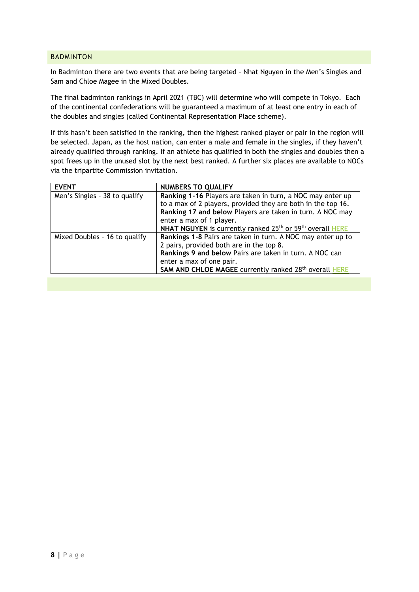#### <span id="page-8-0"></span>BADMINTON

In Badminton there are two events that are being targeted – Nhat Nguyen in the Men's Singles and Sam and Chloe Magee in the Mixed Doubles.

The final badminton rankings in April 2021 (TBC) will determine who will compete in Tokyo. Each of the continental confederations will be guaranteed a maximum of at least one entry in each of the doubles and singles (called Continental Representation Place scheme).

If this hasn't been satisfied in the ranking, then the highest ranked player or pair in the region will be selected. Japan, as the host nation, can enter a male and female in the singles, if they haven't already qualified through ranking. If an athlete has qualified in both the singles and doubles then a spot frees up in the unused slot by the next best ranked. A further six places are available to NOCs via the tripartite Commission invitation.

| <b>EVENT</b>                  | <b>NUMBERS TO QUALIFY</b>                                                                |  |  |  |
|-------------------------------|------------------------------------------------------------------------------------------|--|--|--|
| Men's Singles - 38 to qualify | Ranking 1-16 Players are taken in turn, a NOC may enter up                               |  |  |  |
|                               | to a max of 2 players, provided they are both in the top 16.                             |  |  |  |
|                               | Ranking 17 and below Players are taken in turn. A NOC may                                |  |  |  |
|                               | enter a max of 1 player.                                                                 |  |  |  |
|                               | NHAT NGUYEN is currently ranked 25 <sup>th</sup> or 59 <sup>th</sup> overall <b>HERE</b> |  |  |  |
| Mixed Doubles - 16 to qualify | Rankings 1-8 Pairs are taken in turn. A NOC may enter up to                              |  |  |  |
|                               | 2 pairs, provided both are in the top 8.                                                 |  |  |  |
|                               | Rankings 9 and below Pairs are taken in turn. A NOC can                                  |  |  |  |
|                               | enter a max of one pair.                                                                 |  |  |  |
|                               | SAM AND CHLOE MAGEE currently ranked 28th overall HERE                                   |  |  |  |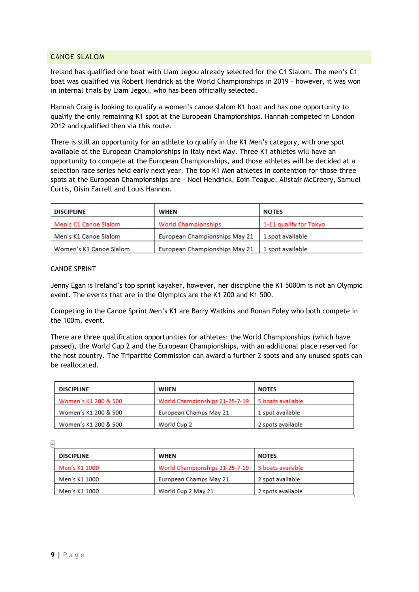#### <span id="page-9-0"></span>CANOE SLALOM

Ireland has qualified one boat with Liam Jegou already selected for the C1 Slalom. The men's C1 boat was qualified via Robert Hendrick at the World Championships in 2019 – however, it was won in internal trials by Liam Jegou, who has been officially selected.

Hannah Craig is looking to qualify a women's canoe slalom K1 boat and has one opportunity to qualify the only remaining K1 spot at the European Championships. Hannah competed in London 2012 and qualified then via this route.

There is still an opportunity for an athlete to qualify in the K1 Men's category, with one spot available at the European Championships in Italy next May. Three K1 athletes will have an opportunity to compete at the European Championships, and those athletes will be decided at a selection race series held early next year. The top K1 Men athletes in contention for those three spots at the European Championships are - Noel Hendrick, Eoin Teague, Alistair McCreery, Samuel Curtis, Oisin Farrell and Louis Hannon.

| <b>DISCIPLINE</b>       | WHEN                          | <b>NOTES</b>           |
|-------------------------|-------------------------------|------------------------|
| Men's C1 Canoe Slalom   | <b>World Championships</b>    | 1-11 qualify for Tokyo |
| Men's K1 Canoe Slalom   | European Championships May 21 | 1 spot available       |
| Women's K1 Canoe Slalom | European Championships May 21 | 1 spot available       |

#### CANOE SPRINT

Jenny Egan is Ireland's top sprint kayaker, however, her discipline the K1 5000m is not an Olympic event. The events that are in the Olympics are the K1 200 and K1 500.

Competing in the Canoe Sprint Men's K1 are Barry Watkins and Ronan Foley who both compete in the 100m. event.

There are three qualification opportunities for athletes: the World Championships (which have passed), the World Cup 2 and the European Championships, with an additional place reserved for the host country. The Tripartite Commission can award a further 2 spots and any unused spots can be reallocated.

| DISCIPLINE           | WHEN                           | <b>NOTES</b>      |
|----------------------|--------------------------------|-------------------|
| Women's K1 200 & 500 | World Championships 21-25-7-19 | 5 boats available |
| Women's K1 200 & 500 | European Champs May 21         | 1 spot available  |
| Women's K1 200 & 500 | World Cup 2                    | 2 spots available |

Ļ.

| <b>DISCIPLINE</b> | WHEN                           | <b>NOTES</b>       |
|-------------------|--------------------------------|--------------------|
| Men's K1 1000     | World Championships 21-25-7-19 | 15 boats available |
| Men's K1 1000     | European Champs May 21         | 2 spot available   |
| Men's K1 1000     | World Cup 2 May 21             | 2 spots available  |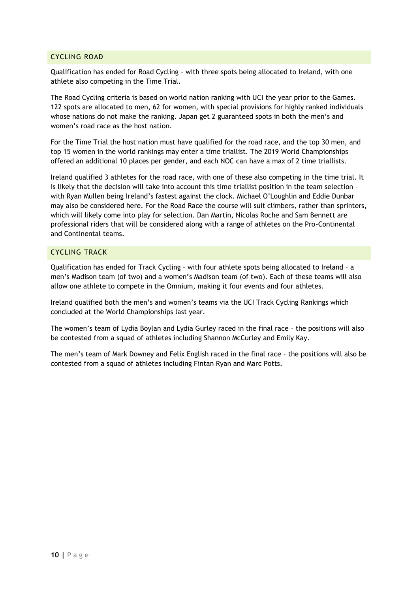#### <span id="page-10-0"></span>CYCLING ROAD

Qualification has ended for Road Cycling – with three spots being allocated to Ireland, with one athlete also competing in the Time Trial.

The Road Cycling criteria is based on world nation ranking with UCI the year prior to the Games. 122 spots are allocated to men, 62 for women, with special provisions for highly ranked individuals whose nations do not make the ranking. Japan get 2 guaranteed spots in both the men's and women's road race as the host nation.

For the Time Trial the host nation must have qualified for the road race, and the top 30 men, and top 15 women in the world rankings may enter a time triallist. The 2019 World Championships offered an additional 10 places per gender, and each NOC can have a max of 2 time triallists.

Ireland qualified 3 athletes for the road race, with one of these also competing in the time trial. It is likely that the decision will take into account this time triallist position in the team selection – with Ryan Mullen being Ireland's fastest against the clock. Michael O'Loughlin and Eddie Dunbar may also be considered here. For the Road Race the course will suit climbers, rather than sprinters, which will likely come into play for selection. Dan Martin, Nicolas Roche and Sam Bennett are professional riders that will be considered along with a range of athletes on the Pro-Continental and Continental teams.

# <span id="page-10-1"></span>CYCLING TRACK

Qualification has ended for Track Cycling – with four athlete spots being allocated to Ireland – a men's Madison team (of two) and a women's Madison team (of two). Each of these teams will also allow one athlete to compete in the Omnium, making it four events and four athletes.

Ireland qualified both the men's and women's teams via the UCI Track Cycling Rankings which concluded at the World Championships last year.

The women's team of Lydia Boylan and Lydia Gurley raced in the final race – the positions will also be contested from a squad of athletes including Shannon McCurley and Emily Kay.

The men's team of Mark Downey and Felix English raced in the final race – the positions will also be contested from a squad of athletes including Fintan Ryan and Marc Potts.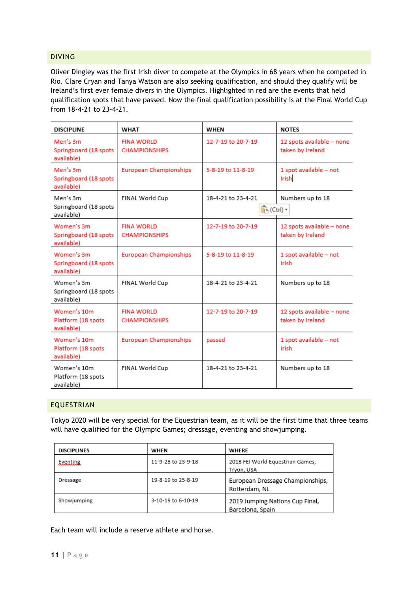#### <span id="page-11-0"></span>DIVING

Oliver Dingley was the first Irish diver to compete at the Olympics in 68 years when he competed in Rio. Clare Cryan and Tanya Watson are also seeking qualification, and should they qualify will be Ireland's first ever female divers in the Olympics. Highlighted in red are the events that held qualification spots that have passed. Now the final qualification possibility is at the Final World Cup from 18-4-21 to 23-4-21.

| <b>DISCIPLINE</b>                                 | <b>WHAT</b>                               | WHEN                                          | <b>NOTES</b>                                  |
|---------------------------------------------------|-------------------------------------------|-----------------------------------------------|-----------------------------------------------|
| Men's 3m<br>Springboard (18 spots<br>available)   | <b>FINA WORLD</b><br><b>CHAMPIONSHIPS</b> | 12-7-19 to 20-7-19                            | 12 spots available - none<br>taken by Ireland |
| Men's 3m<br>Springboard (18 spots<br>available)   | <b>European Championships</b>             | 5-8-19 to 11-8-19                             | 1 spot available - not<br>Irish               |
| Men's 3m<br>Springboard (18 spots<br>available)   | FINAL World Cup                           | 18-4-21 to 23-4-21<br><mark>n</mark> (Ctrl) ▼ | Numbers up to 18                              |
| Women's 3m<br>Springboard (18 spots<br>available) | <b>FINA WORLD</b><br><b>CHAMPIONSHIPS</b> | 12-7-19 to 20-7-19                            | 12 spots available - none<br>taken by Ireland |
| Women's 3m<br>Springboard (18 spots<br>available) | <b>European Championships</b>             | 5-8-19 to 11-8-19                             | 1 spot available - not<br>Irish               |
| Women's 3m<br>Springboard (18 spots<br>available) | FINAL World Cup                           | 18-4-21 to 23-4-21                            | Numbers up to 18                              |
| Women's 10m<br>Platform (18 spots<br>available)   | <b>FINA WORLD</b><br><b>CHAMPIONSHIPS</b> | 12-7-19 to 20-7-19                            | 12 spots available - none<br>taken by Ireland |
| Women's 10m<br>Platform (18 spots<br>available)   | <b>European Championships</b>             | passed                                        | 1 spot available - not<br>Irish               |
| Women's 10m<br>Platform (18 spots<br>available)   | FINAL World Cup                           | 18-4-21 to 23-4-21                            | Numbers up to 18                              |

#### <span id="page-11-1"></span>EQUESTRIAN

Tokyo 2020 will be very special for the Equestrian team, as it will be the first time that three teams will have qualified for the Olympic Games; dressage, eventing and showjumping.

| <b>DISCIPLINES</b> | WHEN               | WHERE                                               |
|--------------------|--------------------|-----------------------------------------------------|
| Eventing           | 11-9-28 to 23-9-18 | 2018 FEI World Equestrian Games,<br>Tryon, USA      |
| Dressage           | 19-8-19 to 25-8-19 | European Dressage Championships,<br>Rotterdam, NL   |
| Showjumping        | 3-10-19 to 6-10-19 | 2019 Jumping Nations Cup Final,<br>Barcelona, Spain |

Each team will include a reserve athlete and horse.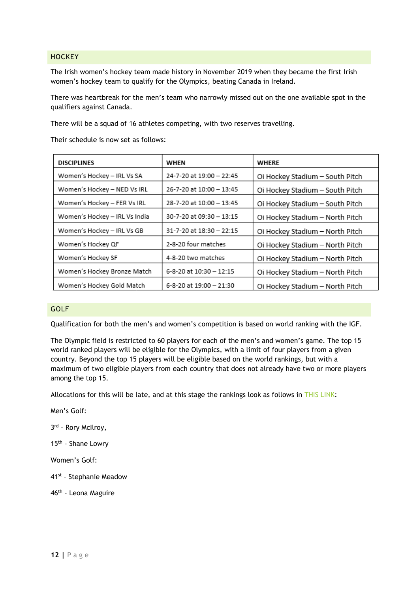#### <span id="page-12-0"></span>**HOCKEY**

The Irish women's hockey team made history in November 2019 when they became the first Irish women's hockey team to qualify for the Olympics, beating Canada in Ireland.

There was heartbreak for the men's team who narrowly missed out on the one available spot in the qualifiers against Canada.

There will be a squad of 16 athletes competing, with two reserves travelling.

Their schedule is now set as follows:

| <b>DISCIPLINES</b>            | WHEN                     | WHERE                           |
|-------------------------------|--------------------------|---------------------------------|
| Women's Hockey - IRL Vs SA    | 24-7-20 at 19:00 - 22:45 | Oi Hockey Stadium - South Pitch |
| Women's Hockey - NED Vs IRL   | 26-7-20 at 10:00 - 13:45 | Oi Hockey Stadium - South Pitch |
| Women's Hockey - FER Vs IRL   | 28-7-20 at 10:00 - 13:45 | Oi Hockey Stadium - South Pitch |
| Women's Hockey - IRL Vs India | 30-7-20 at 09:30 - 13:15 | Oi Hockey Stadium - North Pitch |
| Women's Hockey - IRL Vs GB    | 31-7-20 at 18:30 - 22:15 | Oi Hockey Stadium - North Pitch |
| Women's Hockey QF             | 2-8-20 four matches      | Oi Hockey Stadium - North Pitch |
| Women's Hockey SF             | 4-8-20 two matches       | Oi Hockey Stadium - North Pitch |
| Women's Hockey Bronze Match   | 6-8-20 at 10:30 - 12:15  | Oi Hockey Stadium - North Pitch |
| Women's Hockey Gold Match     | 6-8-20 at 19:00 - 21:30  | Oi Hockey Stadium - North Pitch |

#### <span id="page-12-1"></span>GOLF

Qualification for both the men's and women's competition is based on world ranking with the IGF.

The Olympic field is restricted to 60 players for each of the men's and women's game. The top 15 world ranked players will be eligible for the Olympics, with a limit of four players from a given country. Beyond the top 15 players will be eligible based on the world rankings, but with a maximum of two eligible players from each country that does not already have two or more players among the top 15.

Allocations for this will be late, and at this stage the rankings look as follows in [THIS LINK:](https://www.igfgolf.org/olympic-games/tokyo-2020/tokyo-2020-qualification-system/tokyo-2020-olympic-golf-rankings/)

Men's Golf:

3 rd – Rory McIlroy,

15<sup>th</sup> - Shane Lowry

Women's Golf:

- 41<sup>st</sup> Stephanie Meadow
- 46<sup>th</sup> Leona Maguire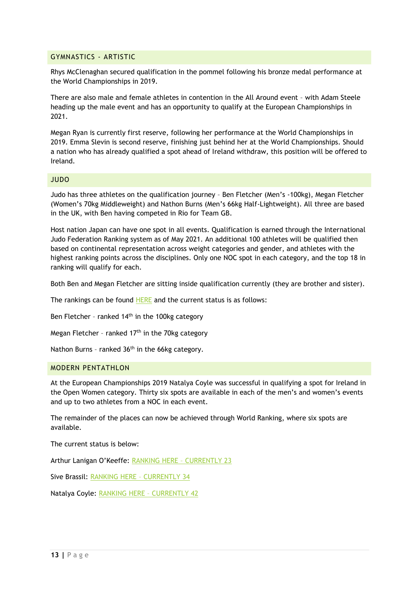#### <span id="page-13-0"></span>GYMNASTICS - ARTISTIC

Rhys McClenaghan secured qualification in the pommel following his bronze medal performance at the World Championships in 2019.

There are also male and female athletes in contention in the All Around event – with Adam Steele heading up the male event and has an opportunity to qualify at the European Championships in 2021.

Megan Ryan is currently first reserve, following her performance at the World Championships in 2019. Emma Slevin is second reserve, finishing just behind her at the World Championships. Should a nation who has already qualified a spot ahead of Ireland withdraw, this position will be offered to Ireland.

#### <span id="page-13-1"></span>JUDO

Judo has three athletes on the qualification journey – Ben Fletcher (Men's -100kg), Megan Fletcher (Women's 70kg Middleweight) and Nathon Burns (Men's 66kg Half-Lightweight). All three are based in the UK, with Ben having competed in Rio for Team GB.

Host nation Japan can have one spot in all events. Qualification is earned through the International Judo Federation Ranking system as of May 2021. An additional 100 athletes will be qualified then based on continental representation across weight categories and gender, and athletes with the highest ranking points across the disciplines. Only one NOC spot in each category, and the top 18 in ranking will qualify for each.

Both Ben and Megan Fletcher are sitting inside qualification currently (they are brother and sister).

The rankings can be found [HERE](https://www.ijf.org/wrl_olympic?category=all&nation=irl) and the current status is as follows:

Ben Fletcher - ranked  $14<sup>th</sup>$  in the 100kg category

Megan Fletcher - ranked  $17<sup>th</sup>$  in the 70kg category

Nathon Burns - ranked 36<sup>th</sup> in the 66kg category.

#### <span id="page-13-2"></span>MODERN PENTATHLON

At the European Championships 2019 Natalya Coyle was successful in qualifying a spot for Ireland in the Open Women category. Thirty six spots are available in each of the men's and women's events and up to two athletes from a NOC in each event.

The remainder of the places can now be achieved through World Ranking, where six spots are available.

The current status is below:

Arthur Lanigan O'Keeffe: [RANKING HERE](https://www.uipmworld.org/world-ranking/modern-pentathlon/men-senior-olympic-games-ranking-18) – CURRENTLY 23

Sive Brassil: [RANKING HERE](https://www.uipmworld.org/world-ranking/modern-pentathlon/women-senior-olympic-games-ranking-21) – CURRENTLY 34

Natalya Coyle: [RANKING HERE](https://www.uipmworld.org/world-ranking/modern-pentathlon/women-senior-olympic-games-ranking-21) – CURRENTLY 42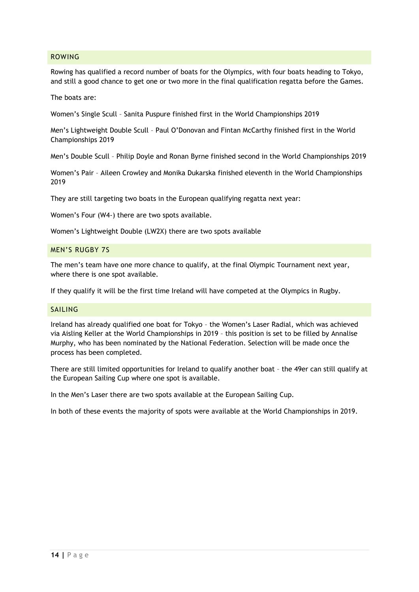#### <span id="page-14-0"></span>ROWING

Rowing has qualified a record number of boats for the Olympics, with four boats heading to Tokyo, and still a good chance to get one or two more in the final qualification regatta before the Games.

The boats are:

Women's Single Scull – Sanita Puspure finished first in the World Championships 2019

Men's Lightweight Double Scull – Paul O'Donovan and Fintan McCarthy finished first in the World Championships 2019

Men's Double Scull – Philip Doyle and Ronan Byrne finished second in the World Championships 2019

Women's Pair – Aileen Crowley and Monika Dukarska finished eleventh in the World Championships 2019

They are still targeting two boats in the European qualifying regatta next year:

Women's Four (W4-) there are two spots available.

Women's Lightweight Double (LW2X) there are two spots available

#### <span id="page-14-1"></span>MEN'S RUGBY 7S

The men's team have one more chance to qualify, at the final Olympic Tournament next year, where there is one spot available.

If they qualify it will be the first time Ireland will have competed at the Olympics in Rugby.

#### <span id="page-14-2"></span>SAILING

Ireland has already qualified one boat for Tokyo – the Women's Laser Radial, which was achieved via Aisling Keller at the World Championships in 2019 – this position is set to be filled by Annalise Murphy, who has been nominated by the National Federation. Selection will be made once the process has been completed.

There are still limited opportunities for Ireland to qualify another boat – the 49er can still qualify at the European Sailing Cup where one spot is available.

In the Men's Laser there are two spots available at the European Sailing Cup.

In both of these events the majority of spots were available at the World Championships in 2019.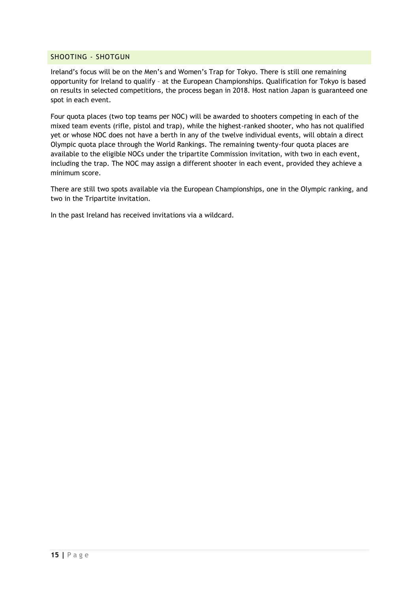#### <span id="page-15-0"></span>SHOOTING - SHOTGUN

Ireland's focus will be on the Men's and Women's Trap for Tokyo. There is still one remaining opportunity for Ireland to qualify – at the European Championships. Qualification for Tokyo is based on results in selected competitions, the process began in 2018. Host nation Japan is guaranteed one spot in each event.

Four quota places (two top teams per NOC) will be awarded to shooters competing in each of the mixed team events (rifle, pistol and trap), while the highest-ranked shooter, who has not qualified yet or whose NOC does not have a berth in any of the twelve individual events, will obtain a direct Olympic quota place through the World Rankings. The remaining twenty-four quota places are available to the eligible NOCs under the tripartite Commission invitation, with two in each event, including the trap. The NOC may assign a different shooter in each event, provided they achieve a minimum score.

There are still two spots available via the European Championships, one in the Olympic ranking, and two in the Tripartite invitation.

In the past Ireland has received invitations via a wildcard.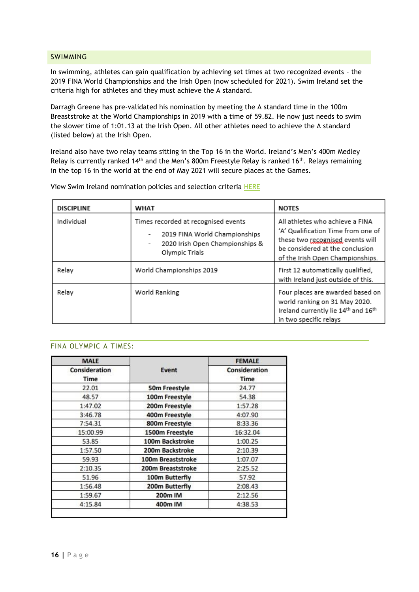#### <span id="page-16-0"></span>SWIMMING

In swimming, athletes can gain qualification by achieving set times at two recognized events – the 2019 FINA World Championships and the Irish Open (now scheduled for 2021). Swim Ireland set the criteria high for athletes and they must achieve the A standard.

Darragh Greene has pre-validated his nomination by meeting the A standard time in the 100m Breaststroke at the World Championships in 2019 with a time of 59.82. He now just needs to swim the slower time of 1:01.13 at the Irish Open. All other athletes need to achieve the A standard (listed below) at the Irish Open.

Ireland also have two relay teams sitting in the Top 16 in the World. Ireland's Men's 400m Medley Relay is currently ranked 14<sup>th</sup> and the Men's 800m Freestyle Relay is ranked 16<sup>th</sup>. Relays remaining in the top 16 in the world at the end of May 2021 will secure places at the Games.

| <b>DISCIPLINE</b> | <b>WHAT</b>                                                                                                               | <b>NOTES</b>                                                                                                                                                                     |
|-------------------|---------------------------------------------------------------------------------------------------------------------------|----------------------------------------------------------------------------------------------------------------------------------------------------------------------------------|
| Individual        | Times recorded at recognised events<br>2019 FINA World Championships<br>2020 Irish Open Championships &<br>Olympic Trials | All athletes who achieve a FINA<br>'A' Qualification Time from one of<br>these two recognised events will<br>be considered at the conclusion<br>of the Irish Open Championships. |
| Relay             | World Championships 2019                                                                                                  | First 12 automatically qualified,<br>with Ireland just outside of this.                                                                                                          |
| Relay             | World Ranking                                                                                                             | Four places are awarded based on<br>world ranking on 31 May 2020.<br>Ireland currently lie 14th and 16th<br>in two specific relays                                               |

View Swim Ireland nomination policies and selection criteria [HERE](https://www.swimireland.ie/performance/international-competitions)

#### <span id="page-16-1"></span>FINA OLYMPIC A TIMES:

| <b>MALE</b><br>Consideration<br>Time | Event             | <b>FEMALE</b><br>Consideration<br>Time |
|--------------------------------------|-------------------|----------------------------------------|
|                                      |                   |                                        |
| 48.57                                | 100m Freestyle    | 54.38                                  |
| 1:47.02                              | 200m Freestyle    | 1:57.28                                |
| 3:46.78                              | 400m Freestyle    | 4:07.90                                |
| 7:54.31                              | 800m Freestyle    | 8:33.36                                |
| 15:00.99                             | 1500m Freestyle   | 16:32.04                               |
| 53.85                                | 100m Backstroke   | 1:00.25                                |
| 1:57.50                              | 200m Backstroke   | 2:10.39                                |
| 59.93                                | 100m Breaststroke | 1:07.07                                |
| 2:10.35                              | 200m Breaststroke | 2:25.52                                |
| 51.96                                | 100m Butterfly    | 57.92                                  |
| 1:56.48                              | 200m Butterfly    | 2:08.43                                |
| 1:59.67                              | 200m IM           | 2:12.56                                |
| 4:15.84                              | 400m IM           | 4:38.53                                |